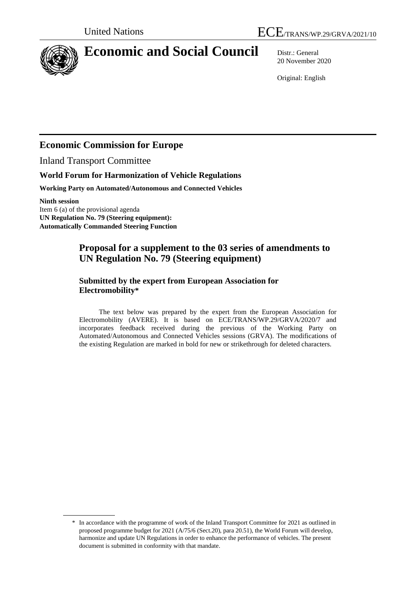

# **Economic and Social Council** Distr.: General

20 November 2020

Original: English

## **Economic Commission for Europe**

Inland Transport Committee

### **World Forum for Harmonization of Vehicle Regulations**

**Working Party on Automated/Autonomous and Connected Vehicles**

**Ninth session** Item 6 (a) of the provisional agenda **UN Regulation No. 79 (Steering equipment): Automatically Commanded Steering Function** 

## **Proposal for a supplement to the 03 series of amendments to UN Regulation No. 79 (Steering equipment)**

#### **Submitted by the expert from European Association for Electromobility\***

The text below was prepared by the expert from the European Association for Electromobility (AVERE). It is based on ECE/TRANS/WP.29/GRVA/2020/7 and incorporates feedback received during the previous of the Working Party on Automated/Autonomous and Connected Vehicles sessions (GRVA). The modifications of the existing Regulation are marked in bold for new or strikethrough for deleted characters.

<sup>\*</sup> In accordance with the programme of work of the Inland Transport Committee for 2021 as outlined in proposed programme budget for 2021 (A/75/6 (Sect.20), para 20.51), the World Forum will develop, harmonize and update UN Regulations in order to enhance the performance of vehicles. The present document is submitted in conformity with that mandate.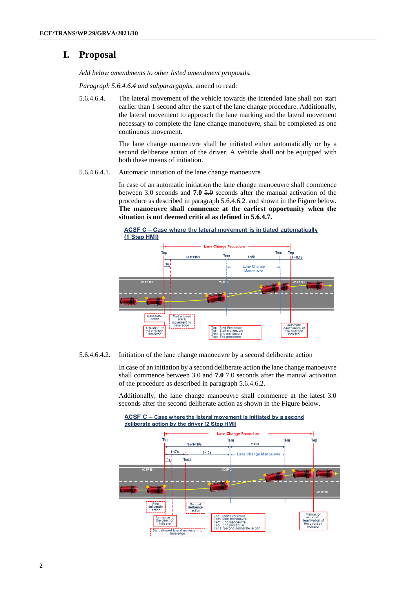## **I. Proposal**

*Add below amendments to other listed amendment proposals.*

*Paragraph 5.6.4.6.4 and subparargaphs,* amend to read:

5.6.4.6.4. The lateral movement of the vehicle towards the intended lane shall not start earlier than 1 second after the start of the lane change procedure. Additionally, the lateral movement to approach the lane marking and the lateral movement necessary to complete the lane change manoeuvre, shall be completed as one continuous movement.

> The lane change manoeuvre shall be initiated either automatically or by a second deliberate action of the driver. A vehicle shall not be equipped with both these means of initiation.

5.6.4.6.4.1. Automatic initiation of the lane change manoeuvre

In case of an automatic initiation the lane change manoeuvre shall commence between 3.0 seconds and **7.0** 5.0 seconds after the manual activation of the procedure as described in paragraph 5.6.4.6.2. and shown in the Figure below. **The manoeuvre shall commence at the earliest opportunity when the situation is not deemed critical as defined in 5.6.4.7.** 



ACSF C - Case where the lateral movement is initiated automatically

5.6.4.6.4.2. Initiation of the lane change manoeuvre by a second deliberate action

In case of an initiation by a second deliberate action the lane change manoeuvre shall commence between 3.0 and **7.0** 7.0 seconds after the manual activation of the procedure as described in paragraph 5.6.4.6.2.

Additionally, the lane change manoeuvre shall commence at the latest 3.0 seconds after the second deliberate action as shown in the Figure below.

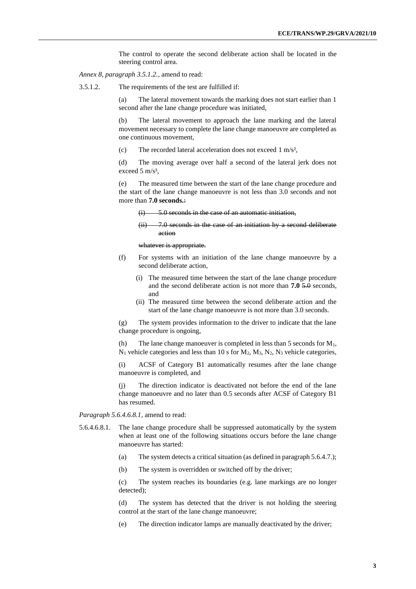The control to operate the second deliberate action shall be located in the steering control area.

*Annex 8, paragraph 3.5.1.2.,* amend to read:

3.5.1.2. The requirements of the test are fulfilled if:

(a) The lateral movement towards the marking does not start earlier than 1 second after the lane change procedure was initiated,

(b) The lateral movement to approach the lane marking and the lateral movement necessary to complete the lane change manoeuvre are completed as one continuous movement,

(c) The recorded lateral acceleration does not exceed 1 m/s²,

(d) The moving average over half a second of the lateral jerk does not exceed 5 m/s<sup>3</sup>,

(e) The measured time between the start of the lane change procedure and the start of the lane change manoeuvre is not less than 3.0 seconds and not more than **7.0 seconds.**:

(i) 5.0 seconds in the case of an automatic initiation,

```
(ii) 7.0 seconds in the case of an initiation by a second deliberate 
action
```
whatever is appropriate.

- (f) For systems with an initiation of the lane change manoeuvre by a second deliberate action,
	- (i) The measured time between the start of the lane change procedure and the second deliberate action is not more than **7.0** 5.0 seconds, and
	- (ii) The measured time between the second deliberate action and the start of the lane change manoeuvre is not more than 3.0 seconds.

(g) The system provides information to the driver to indicate that the lane change procedure is ongoing,

(h) The lane change manoeuver is completed in less than 5 seconds for  $M_1$ ,  $N_1$  vehicle categories and less than 10 s for  $M_2$ ,  $M_3$ ,  $N_2$ ,  $N_3$  vehicle categories,

(i) ACSF of Category B1 automatically resumes after the lane change manoeuvre is completed, and

(j) The direction indicator is deactivated not before the end of the lane change manoeuvre and no later than 0.5 seconds after ACSF of Category B1 has resumed.

*Paragraph 5.6.4.6.8.1,* amend to read:

- 5.6.4.6.8.1. The lane change procedure shall be suppressed automatically by the system when at least one of the following situations occurs before the lane change manoeuvre has started:
	- (a) The system detects a critical situation (as defined in paragraph 5.6.4.7.);
	- (b) The system is overridden or switched off by the driver;

(c) The system reaches its boundaries (e.g. lane markings are no longer detected);

(d) The system has detected that the driver is not holding the steering control at the start of the lane change manoeuvre;

(e) The direction indicator lamps are manually deactivated by the driver;